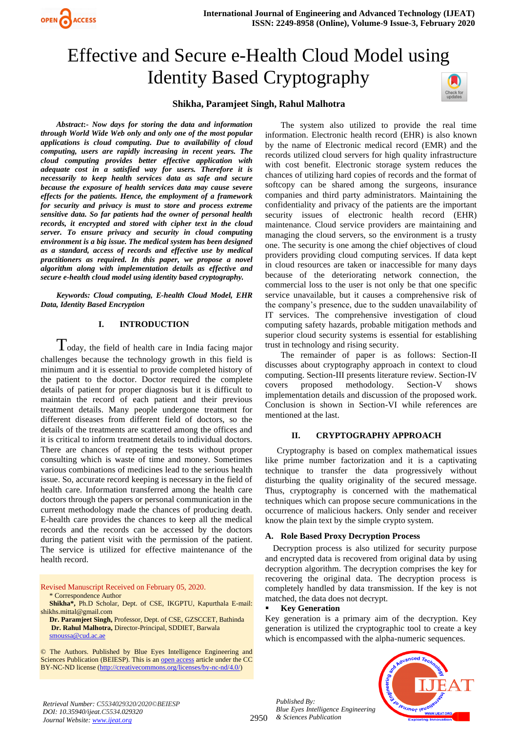# Effective and Secure e-Health Cloud Model using Identity Based Cryptography



## **Shikha, Paramjeet Singh, Rahul Malhotra**

*Abstract***:-** *Now days for storing the data and information through World Wide Web only and only one of the most popular applications is cloud computing. Due to availability of cloud computing, users are rapidly increasing in recent years. The cloud computing provides better effective application with adequate cost in a satisfied way for users. Therefore it is necessarily to keep health services data as safe and secure because the exposure of health services data may cause severe effects for the patients. Hence, the employment of a framework for security and privacy is must to store and process extreme sensitive data. So far patients had the owner of personal health records, it encrypted and stored with cipher text in the cloud server. To ensure privacy and security in cloud computing environment is a big issue. The medical system has been designed as a standard, access of records and effective use by medical practitioners as required. In this paper, we propose a novel algorithm along with implementation details as effective and secure e-health cloud model using identity based cryptography.*

OPEN ACCESS

*Keywords: Cloud computing, E-health Cloud Model, EHR Data, Identity Based Encryption*

#### **I. INTRODUCTION**

 $T$ oday, the field of health care in India facing major challenges because the technology growth in this field is minimum and it is essential to provide completed history of the patient to the doctor. Doctor required the complete details of patient for proper diagnosis but it is difficult to maintain the record of each patient and their previous treatment details. Many people undergone treatment for different diseases from different field of doctors, so the details of the treatments are scattered among the offices and it is critical to inform treatment details to individual doctors. There are chances of repeating the tests without proper consulting which is waste of time and money. Sometimes various combinations of medicines lead to the serious health issue. So, accurate record keeping is necessary in the field of health care. Information transferred among the health care doctors through the papers or personal communication in the current methodology made the chances of producing death. E-health care provides the chances to keep all the medical records and the records can be accessed by the doctors during the patient visit with the permission of the patient. The service is utilized for effective maintenance of the health record.

Revised Manuscript Received on February 05, 2020. \* Correspondence Author

**Shikha\*,** Ph.D Scholar, Dept. of CSE, IKGPTU, Kapurthala E-mail: [shikhs.mittal@gmail.com](mailto:shikhs.mittal@gmail.com)

**Dr. Paramjeet Singh,** Professor, Dept. of CSE, GZSCCET, Bathinda **Dr. Rahul Malhotra,** Director-Principal, SDDIET, Barwala [smoussa@cud.ac.ae](mailto:smoussa@cud.ac.ae)

© The Authors. Published by Blue Eyes Intelligence Engineering and Sciences Publication (BEIESP). This is a[n open access](https://www.openaccess.nl/en/open-publications) article under the CC BY-NC-ND license [\(http://creativecommons.org/licenses/by-nc-nd/4.0/\)](http://creativecommons.org/licenses/by-nc-nd/4.0/)

The system also utilized to provide the real time information. Electronic health record (EHR) is also known by the name of Electronic medical record (EMR) and the records utilized cloud servers for high quality infrastructure with cost benefit. Electronic storage system reduces the chances of utilizing hard copies of records and the format of softcopy can be shared among the surgeons, insurance companies and third party administrators. Maintaining the confidentiality and privacy of the patients are the important security issues of electronic health record (EHR) maintenance. Cloud service providers are maintaining and managing the cloud servers, so the environment is a trusty one. The security is one among the chief objectives of cloud providers providing cloud computing services. If data kept in cloud resources are taken or inaccessible for many days because of the deteriorating network connection, the commercial loss to the user is not only be that one specific service unavailable, but it causes a comprehensive risk of the company's presence, due to the sudden unavailability of IT services. The comprehensive investigation of cloud computing safety hazards, probable mitigation methods and superior cloud security systems is essential for establishing trust in technology and rising security.

The remainder of paper is as follows: Section-II discusses about cryptography approach in context to cloud computing. Section-III presents literature review. Section-IV covers proposed methodology. Section-V shows implementation details and discussion of the proposed work. Conclusion is shown in Section-VI while references are mentioned at the last.

## **II. CRYPTOGRAPHY APPROACH**

Cryptography is based on complex mathematical issues like prime number factorization and it is a captivating technique to transfer the data progressively without disturbing the quality originality of the secured message. Thus, cryptography is concerned with the mathematical techniques which can propose secure communications in the occurrence of malicious hackers. Only sender and receiver know the plain text by the simple crypto system.

## **A. Role Based Proxy Decryption Process**

Decryption process is also utilized for security purpose and encrypted data is recovered from original data by using decryption algorithm. The decryption comprises the key for recovering the original data. The decryption process is completely handled by data transmission. If the key is not matched, the data does not decrypt.

#### **Key Generation**

Key generation is a primary aim of the decryption. Key generation is utilized the cryptographic tool to create a key which is encompassed with the alpha-numeric sequences.

2950 *& Sciences Publication Published By: Blue Eyes Intelligence Engineering* 

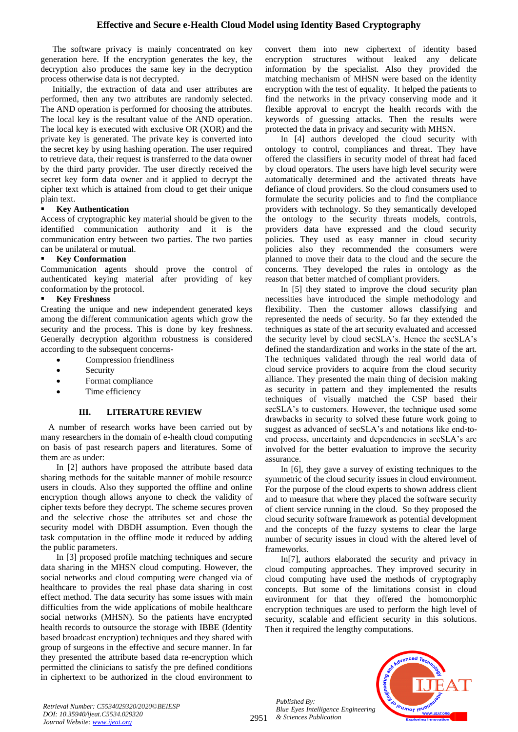The software privacy is mainly concentrated on key generation here. If the encryption generates the key, the decryption also produces the same key in the decryption process otherwise data is not decrypted.

Initially, the extraction of data and user attributes are performed, then any two attributes are randomly selected. The AND operation is performed for choosing the attributes. The local key is the resultant value of the AND operation. The local key is executed with exclusive OR (XOR) and the private key is generated. The private key is converted into the secret key by using hashing operation. The user required to retrieve data, their request is transferred to the data owner by the third party provider. The user directly received the secret key form data owner and it applied to decrypt the cipher text which is attained from cloud to get their unique plain text.

# **Key Authentication**

Access of cryptographic key material should be given to the identified communication authority and it is the communication entry between two parties. The two parties can be unilateral or mutual.

# **Key Conformation**

Communication agents should prove the control of authenticated keying material after providing of key conformation by the protocol.

# **Key Freshness**

Creating the unique and new independent generated keys among the different communication agents which grow the security and the process. This is done by key freshness. Generally decryption algorithm robustness is considered according to the subsequent concerns-

- Compression friendliness
- **Security**
- Format compliance
- Time efficiency

# **III. LITERATURE REVIEW**

A number of research works have been carried out by many researchers in the domain of e-health cloud computing on basis of past research papers and literatures. Some of them are as under:

In [2] authors have proposed the attribute based data sharing methods for the suitable manner of mobile resource users in clouds. Also they supported the offline and online encryption though allows anyone to check the validity of cipher texts before they decrypt. The scheme secures proven and the selective chose the attributes set and chose the security model with DBDH assumption. Even though the task computation in the offline mode it reduced by adding the public parameters.

In [3] proposed profile matching techniques and secure data sharing in the MHSN cloud computing. However, the social networks and cloud computing were changed via of healthcare to provides the real phase data sharing in cost effect method. The data security has some issues with main difficulties from the wide applications of mobile healthcare social networks (MHSN). So the patients have encrypted health records to outsource the storage with IBBE (Identity based broadcast encryption) techniques and they shared with group of surgeons in the effective and secure manner. In far they presented the attribute based data re-encryption which permitted the clinicians to satisfy the pre defined conditions in ciphertext to be authorized in the cloud environment to convert them into new ciphertext of identity based encryption structures without leaked any delicate information by the specialist. Also they provided the matching mechanism of MHSN were based on the identity encryption with the test of equality. It helped the patients to find the networks in the privacy conserving mode and it flexible approval to encrypt the health records with the keywords of guessing attacks. Then the results were protected the data in privacy and security with MHSN.

In [4] authors developed the cloud security with ontology to control, compliances and threat. They have offered the classifiers in security model of threat had faced by cloud operators. The users have high level security were automatically determined and the activated threats have defiance of cloud providers. So the cloud consumers used to formulate the security policies and to find the compliance providers with technology. So they semantically developed the ontology to the security threats models, controls, providers data have expressed and the cloud security policies. They used as easy manner in cloud security policies also they recommended the consumers were planned to move their data to the cloud and the secure the concerns. They developed the rules in ontology as the reason that better matched of compliant providers.

In [5] they stated to improve the cloud security plan necessities have introduced the simple methodology and flexibility. Then the customer allows classifying and represented the needs of security. So far they extended the techniques as state of the art security evaluated and accessed the security level by cloud secSLA's. Hence the secSLA's defined the standardization and works in the state of the art. The techniques validated through the real world data of cloud service providers to acquire from the cloud security alliance. They presented the main thing of decision making as security in pattern and they implemented the results techniques of visually matched the CSP based their secSLA's to customers. However, the technique used some drawbacks in security to solved these future work going to suggest as advanced of secSLA's and notations like end-toend process, uncertainty and dependencies in secSLA's are involved for the better evaluation to improve the security assurance.

In [6], they gave a survey of existing techniques to the symmetric of the cloud security issues in cloud environment. For the purpose of the cloud experts to shown address client and to measure that where they placed the software security of client service running in the cloud. So they proposed the cloud security software framework as potential development and the concepts of the fuzzy systems to clear the large number of security issues in cloud with the altered level of frameworks.

In[7], authors elaborated the security and privacy in cloud computing approaches. They improved security in cloud computing have used the methods of cryptography concepts. But some of the limitations consist in cloud environment for that they offered the homomorphic encryption techniques are used to perform the high level of security, scalable and efficient security in this solutions. Then it required the lengthy computations.

*Published By: Blue Eyes Intelligence Engineering & Sciences Publication* 

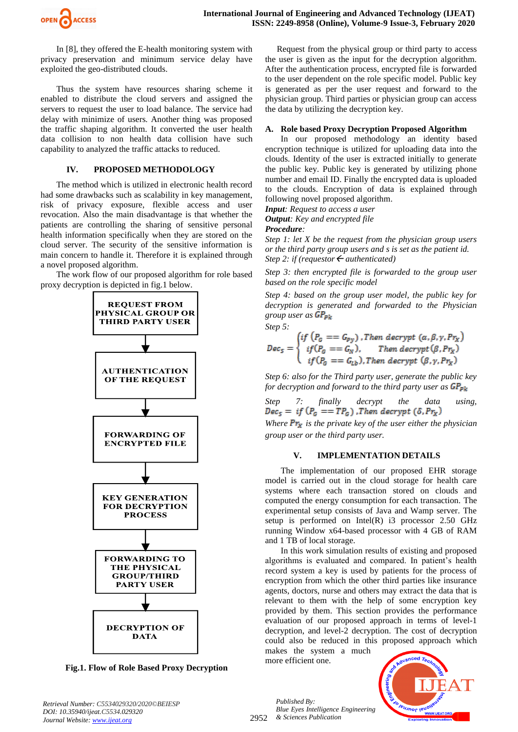In [8], they offered the E-health monitoring system with privacy preservation and minimum service delay have exploited the geo-distributed clouds.

Thus the system have resources sharing scheme it enabled to distribute the cloud servers and assigned the servers to request the user to load balance. The service had delay with minimize of users. Another thing was proposed the traffic shaping algorithm. It converted the user health data collision to non health data collision have such capability to analyzed the traffic attacks to reduced.

# **IV. PROPOSED METHODOLOGY**

The method which is utilized in electronic health record had some drawbacks such as scalability in key management, risk of privacy exposure, flexible access and user revocation. Also the main disadvantage is that whether the patients are controlling the sharing of sensitive personal health information specifically when they are stored on the cloud server. The security of the sensitive information is main concern to handle it. Therefore it is explained through a novel proposed algorithm.

The work flow of our proposed algorithm for role based proxy decryption is depicted in fig.1 below.



**Fig.1. Flow of Role Based Proxy Decryption**

Request from the physical group or third party to access the user is given as the input for the decryption algorithm. After the authentication process, encrypted file is forwarded to the user dependent on the role specific model. Public key is generated as per the user request and forward to the physician group. Third parties or physician group can access the data by utilizing the decryption key.

# **A. Role based Proxy Decryption Proposed Algorithm**

In our proposed methodology an identity based encryption technique is utilized for uploading data into the clouds. Identity of the user is extracted initially to generate the public key. Public key is generated by utilizing phone number and email ID. Finally the encrypted data is uploaded to the clouds. Encryption of data is explained through following novel proposed algorithm.

*Input: Request to access a user*

*Output: Key and encrypted file*

*Procedure:*

*Step 1: let X be the request from the physician group users or the third party group users and s is set as the patient id. Step 2: if (requestor*  $\leftarrow$  *authenticated)* 

*Step 3: then encrypted file is forwarded to the group user based on the role specific model*

*Step 4: based on the group user model, the public key for decryption is generated and forwarded to the Physician group user as Step 5:*

 $r_{\chi})$ 

$$
Dec_{5} = \begin{cases} if (P_{G} == G_{Py}) \text{, } Then \text{ } decrypt (\alpha, \beta, \gamma, Pr_{X}) \\ if (P_{G} == G_{N}), \text{ } Then \text{ } decrypt (\beta, Pr_{X}) \\ if (P_{G} == G_{Lb}) \text{, } Then \text{ } decrypt (\beta, \gamma, Pr_{X}) \end{cases}
$$

*Step 6: also for the Third party user, generate the public key for decryption and forward to the third party user as* 

*Step 7: finally decrypt the data using,*  $\overline{Dec}_5 = if (P_G == TP_G)$ , Then decrypt  $(\delta, Pr_X)$ 

*Where*  $Pr_{\mathbf{x}}$  *is the private key of the user either the physician group user or the third party user.*

# **V. IMPLEMENTATION DETAILS**

The implementation of our proposed EHR storage model is carried out in the cloud storage for health care systems where each transaction stored on clouds and computed the energy consumption for each transaction. The experimental setup consists of Java and Wamp server. The setup is performed on  $Intel(R)$  i3 processor 2.50 GHz running Window x64-based processor with 4 GB of RAM and 1 TB of local storage.

In this work simulation results of existing and proposed algorithms is evaluated and compared. In patient's health record system a key is used by patients for the process of encryption from which the other third parties like insurance agents, doctors, nurse and others may extract the data that is relevant to them with the help of some encryption key provided by them. This section provides the performance evaluation of our proposed approach in terms of level-1 decryption, and level-2 decryption. The cost of decryption could also be reduced in this proposed approach which

makes the system a much more efficient one.



*Published By:*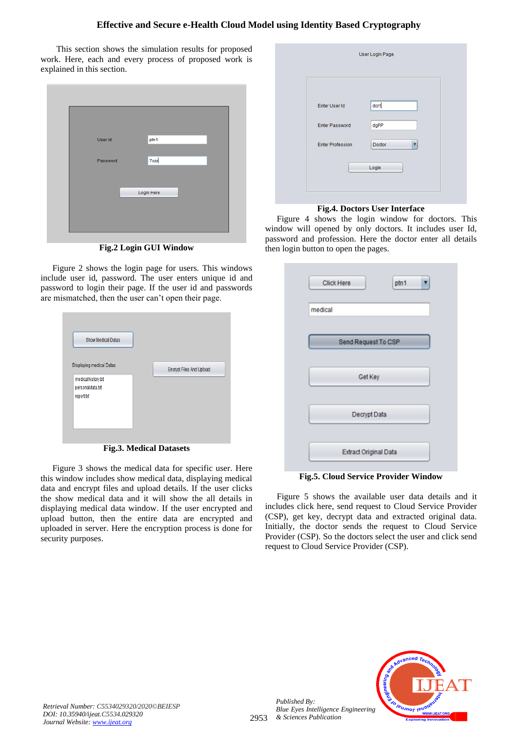# **Effective and Secure e-Health Cloud Model using Identity Based Cryptography**

This section shows the simulation results for proposed work. Here, each and every process of proposed work is explained in this section.

| User Id  | ptn1       |
|----------|------------|
| Password | 7szx       |
|          | Login Here |
|          |            |

**Fig.2 Login GUI Window** 

Figure 2 shows the login page for users. This windows include user id, password. The user enters unique id and password to login their page. If the user id and passwords are mismatched, then the user can't open their page.

| <b>Show Medical Datas</b> |                                 |
|---------------------------|---------------------------------|
| Displaying medical Datas  | <b>Encrypt Files And Upload</b> |
| medicalhistory.txt        |                                 |
| personaldata.txt          |                                 |
| report.txt                |                                 |
|                           |                                 |
|                           |                                 |

**Fig.3. Medical Datasets**

Figure 3 shows the medical data for specific user. Here this window includes show medical data, displaying medical data and encrypt files and upload details. If the user clicks the show medical data and it will show the all details in displaying medical data window. If the user encrypted and upload button, then the entire data are encrypted and uploaded in server. Here the encryption process is done for security purposes.

| Enter User Id           | dcr1   |
|-------------------------|--------|
| Enter Password          | dgPP   |
| <b>Enter Profession</b> | Doctor |

# **Fig.4. Doctors User Interface**

Figure 4 shows the login window for doctors. This window will opened by only doctors. It includes user Id, password and profession. Here the doctor enter all details then login button to open the pages.

| Click Here |                              | ptn1 |  |
|------------|------------------------------|------|--|
| medical    |                              |      |  |
|            |                              |      |  |
|            | Send Request To CSP          |      |  |
|            |                              |      |  |
|            | Get Key                      |      |  |
|            |                              |      |  |
|            | Decrypt Data                 |      |  |
|            |                              |      |  |
|            | <b>Extract Original Data</b> |      |  |

**Fig.5. Cloud Service Provider Window**

Figure 5 shows the available user data details and it includes click here, send request to Cloud Service Provider (CSP), get key, decrypt data and extracted original data. Initially, the doctor sends the request to Cloud Service Provider (CSP). So the doctors select the user and click send request to Cloud Service Provider (CSP).



*Retrieval Number: C5534029320/2020©BEIESP DOI: 10.35940/ijeat.C5534.029320 Journal Website[: www.ijeat.org](http://www.ijeat.org/)*

*Published By:*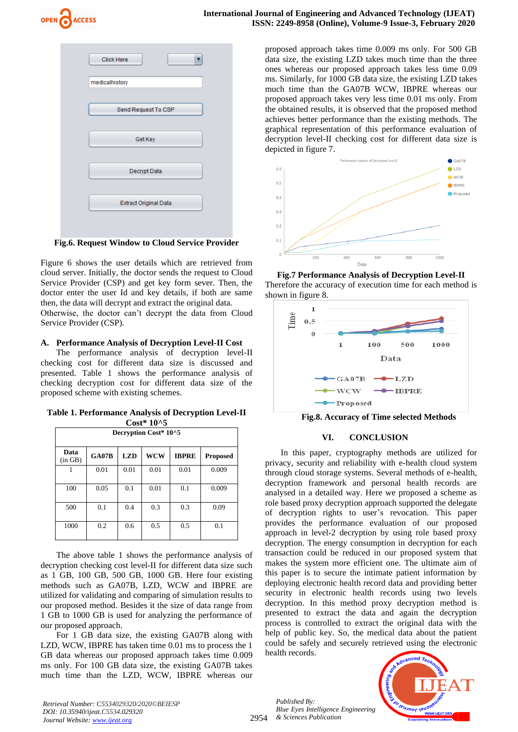



**Fig.6. Request Window to Cloud Service Provider**

Figure 6 shows the user details which are retrieved from cloud server. Initially, the doctor sends the request to Cloud Service Provider (CSP) and get key form sever. Then, the doctor enter the user Id and key details, if both are same then, the data will decrypt and extract the original data. Otherwise, the doctor can't decrypt the data from Cloud Service Provider (CSP).

## **A. Performance Analysis of Decryption Level-II Cost**

The performance analysis of decryption level-II checking cost for different data size is discussed and presented. Table 1 shows the performance analysis of checking decryption cost for different data size of the proposed scheme with existing schemes.

**Table 1. Performance Analysis of Decryption Level-II Cost\* 10^5**

| Decryption Cost* 10^5 |              |            |            |              |                 |  |  |  |
|-----------------------|--------------|------------|------------|--------------|-----------------|--|--|--|
| Data<br>(in GB)       | <b>GA07B</b> | <b>LZD</b> | <b>WCW</b> | <b>IBPRE</b> | <b>Proposed</b> |  |  |  |
| 1                     | 0.01         | 0.01       | 0.01       | 0.01         | 0.009           |  |  |  |
| 100                   | 0.05         | 0.1        | 0.01       | 0.1          | 0.009           |  |  |  |
| 500                   | 0.1          | 0.4        | 0.3        | 0.3          | 0.09            |  |  |  |
| 1000                  | 0.2          | 0.6        | 0.5        | 0.5          | 0.1             |  |  |  |

The above table 1 shows the performance analysis of decryption checking cost level-II for different data size such as 1 GB, 100 GB, 500 GB, 1000 GB. Here four existing methods such as GA07B, LZD, WCW and IBPRE are utilized for validating and comparing of simulation results to our proposed method. Besides it the size of data range from 1 GB to 1000 GB is used for analyzing the performance of our proposed approach.

For 1 GB data size, the existing GA07B along with LZD, WCW, IBPRE has taken time 0.01 ms to process the 1 GB data whereas our proposed approach takes time 0.009 ms only. For 100 GB data size, the existing GA07B takes much time than the LZD, WCW, IBPRE whereas our proposed approach takes time 0.009 ms only. For 500 GB data size, the existing LZD takes much time than the three ones whereas our proposed approach takes less time 0.09 ms. Similarly, for 1000 GB data size, the existing LZD takes much time than the GA07B WCW, IBPRE whereas our proposed approach takes very less time 0.01 ms only. From the obtained results, it is observed that the proposed method achieves better performance than the existing methods. The graphical representation of this performance evaluation of decryption level-II checking cost for different data size is depicted in figure 7.



**Fig.7 Performance Analysis of Decryption Level-II**  Therefore the accuracy of execution time for each method is shown in figure 8.



**Fig.8. Accuracy of Time selected Methods**

## **VI. CONCLUSION**

In this paper, cryptography methods are utilized for privacy, security and reliability with e-health cloud system through cloud storage systems. Several methods of e-health, decryption framework and personal health records are analysed in a detailed way. Here we proposed a scheme as role based proxy decryption approach supported the delegate of decryption rights to user's revocation. This paper provides the performance evaluation of our proposed approach in level-2 decryption by using role based proxy decryption. The energy consumption in decryption for each transaction could be reduced in our proposed system that makes the system more efficient one. The ultimate aim of this paper is to secure the intimate patient information by deploying electronic health record data and providing better security in electronic health records using two levels decryption. In this method proxy decryption method is presented to extract the data and again the decryption process is controlled to extract the original data with the help of public key. So, the medical data about the patient could be safely and securely retrieved using the electronic health records.

*Published By: Blue Eyes Intelligence Engineering & Sciences Publication* 



*Retrieval Number: C5534029320/2020©BEIESP DOI: 10.35940/ijeat.C5534.029320 Journal Website[: www.ijeat.org](http://www.ijeat.org/)*